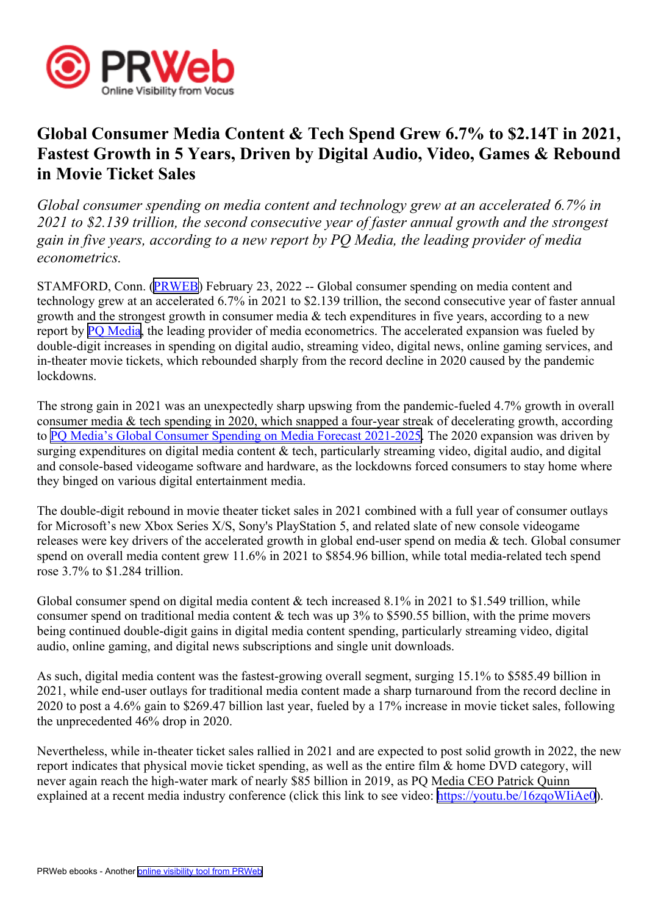

## **Global Consumer Media Content & Tech Spend Grew 6.7% to \$2.14T in 2021, Fastest Growth in 5 Years, Driven by Digital Audio, Video, Games & Rebound in Movie Ticket Sales**

*Global consumer spending on media content and technology grew at an accelerated 6.7% in 2021 to \$2.139 trillion, the second consecutive year of faster annual growth and the strongest* gain in five years, according to a new report by PO Media, the leading provider of media *econometrics.*

STAMFORD, Conn. [\(PRWEB\)](http://www.prweb.com) February 23, 2022 -- Global consumer spending on media content and technology grew at an accelerated 6.7% in 2021 to \$2.139 trillion, the second consecutive year of faster annual growth and the strongest growth in consumer media & tech expenditures in five years, according to <sup>a</sup> new report by PO [Media](https://www.pqmedia.com), the leading provider of media econometrics. The accelerated expansion was fueled by double-digit increases in spending on digital audio, streaming video, digital news, online gaming services, and in-theater movie tickets, which rebounded sharply from the record decline in 2020 caused by the pandemic lockdowns.

The strong gain in 2021 was an unexpectedly sharp upswing from the pandemic-fueled 4.7% growth in overall consumer media & tech spending in 2020, which snapped <sup>a</sup> four-year streak of decelerating growth, according to PQ Media's Global Consumer [Spending](https://www.pqmedia.com/product/global-consumer-spending-on-media-forecast-2021-2025) on Media Forecast 2021-2025. The 2020 expansion was driven by surging expenditures on digital media content  $\&$  tech, particularly streaming video, digital audio, and digital and console-based videogame software and hardware, as the lockdowns forced consumers to stay home where they binged on various digital entertainment media.

The double-digit rebound in movie theater ticket sales in 2021 combined with <sup>a</sup> full year of consumer outlays for Microsoft's new Xbox Series X/S, Sony's PlayStation 5, and related slate of new console videogame releases were key drivers of the accelerated growth in global end-user spend on media & tech. Global consumer spend on overall media content grew 11.6% in 2021 to \$854.96 billion, while total media-related tech spend rose 3.7% to \$1.284 trillion.

Global consumer spend on digital media content  $&$  tech increased 8.1% in 2021 to \$1.549 trillion, while consumer spend on traditional media content & tech was up  $3\%$  to \$590.55 billion, with the prime movers being continued double-digit gains in digital media content spending, particularly streaming video, digital audio, online gaming, and digital news subscriptions and single unit downloads.

As such, digital media content was the fastest-growing overall segment, surging 15.1% to \$585.49 billion in 2021, while end-user outlays for traditional media content made <sup>a</sup> sharp turnaround from the record decline in 2020 to pos<sup>t</sup> <sup>a</sup> 4.6% gain to \$269.47 billion last year, fueled by <sup>a</sup> 17% increase in movie ticket sales, following the unprecedented 46% drop in 2020.

Nevertheless, while in-theater ticket sales rallied in 2021 and are expected to pos<sup>t</sup> solid growth in 2022, the new repor<sup>t</sup> indicates that physical movie ticket spending, as well as the entire film & home DVD category, will never again reach the high-water mark of nearly \$85 billion in 2019, as PQ Media CEO Patrick Quinn explained at <sup>a</sup> recent media industry conference (click this link to see video: [https://youtu.be/16zqoWIiAe0\)](https://youtu.be/16zqoWIiAe0).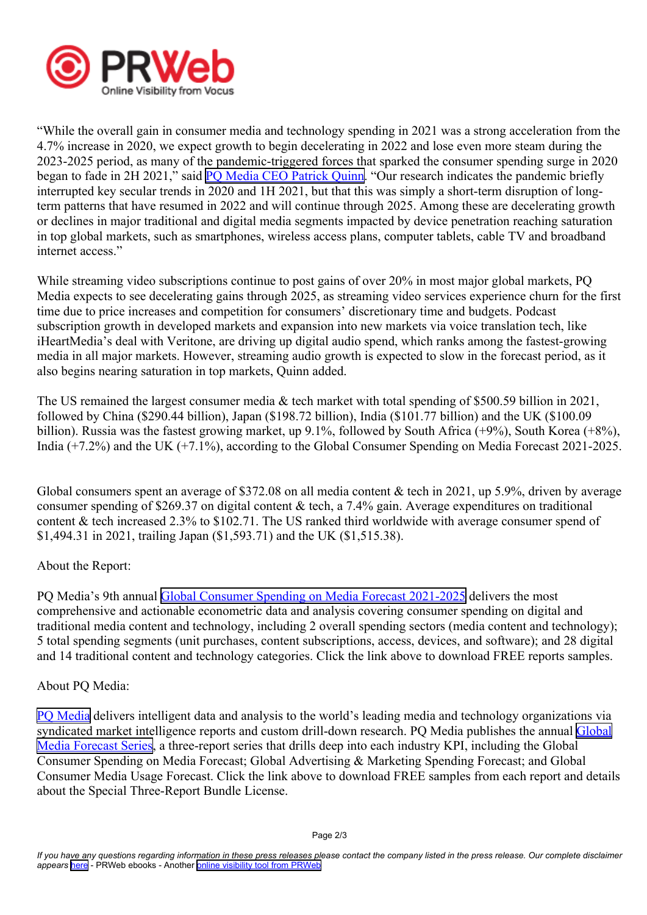

"While the overall gain in consumer media and technology spending in 2021 was <sup>a</sup> strong acceleration from the 4.7% increase in 2020, we expec<sup>t</sup> growth to begin decelerating in 2022 and lose even more steam during the 2023-2025 period, as many of the pandemic-triggered forces that sparked the consumer spending surge in 2020 began to fade in 2H 2021," said PO Media CEO Patrick [Quinn](https://www.linkedin.com/in/patrickquinn-pqmedia). "Our research indicates the pandemic briefly interrupted key secular trends in 2020 and 1H 2021, but that this was simply <sup>a</sup> short-term disruption of longterm patterns that have resumed in 2022 and will continue through 2025. Among these are decelerating growth or declines in major traditional and digital media segments impacted by device penetration reaching saturation in top global markets, such as smartphones, wireless access plans, computer tablets, cable TV and broadband internet access."

While streaming video subscriptions continue to pos<sup>t</sup> gains of over 20% in most major global markets, PQ Media expects to see decelerating gains through 2025, as streaming video services experience churn for the first time due to price increases and competition for consumers' discretionary time and budgets. Podcast subscription growth in developed markets and expansion into new markets via voice translation tech, like iHeartMedia's deal with Veritone, are driving up digital audio spend, which ranks among the fastest-growing media in all major markets. However, streaming audio growth is expected to slow in the forecast period, as it also begins nearing saturation in top markets, Quinn added.

The US remained the largest consumer media & tech market with total spending of \$500.59 billion in 2021, followed by China (\$290.44 billion), Japan (\$198.72 billion), India (\$101.77 billion) and the UK (\$100.09 billion). Russia was the fastest growing market, up 9.1%, followed by South Africa (+9%), South Korea (+8%), India (+7.2%) and the UK (+7.1%), according to the Global Consumer Spending on Media Forecast 2021-2025.

Global consumers spent an average of \$372.08 on all media content & tech in 2021, up 5.9%, driven by average consumer spending of \$269.37 on digital content & tech, <sup>a</sup> 7.4% gain. Average expenditures on traditional content  $&$  tech increased 2.3% to \$102.71. The US ranked third worldwide with average consumer spend of \$1,494.31 in 2021, trailing Japan (\$1,593.71) and the UK (\$1,515.38).

## About the Report:

PQ Media's 9th annual Global Consumer [Spending](https://www.pqmedia.com/product/global-consumer-spending-on-media-forecast-2021-2025) on Media Forecast 2021-2025 delivers the most comprehensive and actionable econometric data and analysis covering consumer spending on digital and traditional media content and technology, including 2 overall spending sectors (media content and technology); 5 total spending segments (unit purchases, content subscriptions, access, devices, and software); and 28 digital and 14 traditional content and technology categories. Click the link above to download FREE reports samples.

## About PQ Media:

PQ [Media](https://www.pqmedia.com) delivers intelligent data and analysis to the world's leading media and technology organizations via syndicated market intelligence reports and custom drill-down research. PQ Media publishes the annual [Global](https://www.pqmedia.com/product/pq-medias-global-media-forecast-series-2021-2025-3-report-bundle/) Media [Forecast](https://www.pqmedia.com/product/pq-medias-global-media-forecast-series-2021-2025-3-report-bundle/) Series, <sup>a</sup> three-report series that drills deep into each industry KPI, including the Global Consumer Spending on Media Forecast; Global Advertising & Marketing Spending Forecast; and Global Consumer Media Usage Forecast. Click the link above to download FREE samples from each repor<sup>t</sup> and details about the Special Three-Report Bundle License.